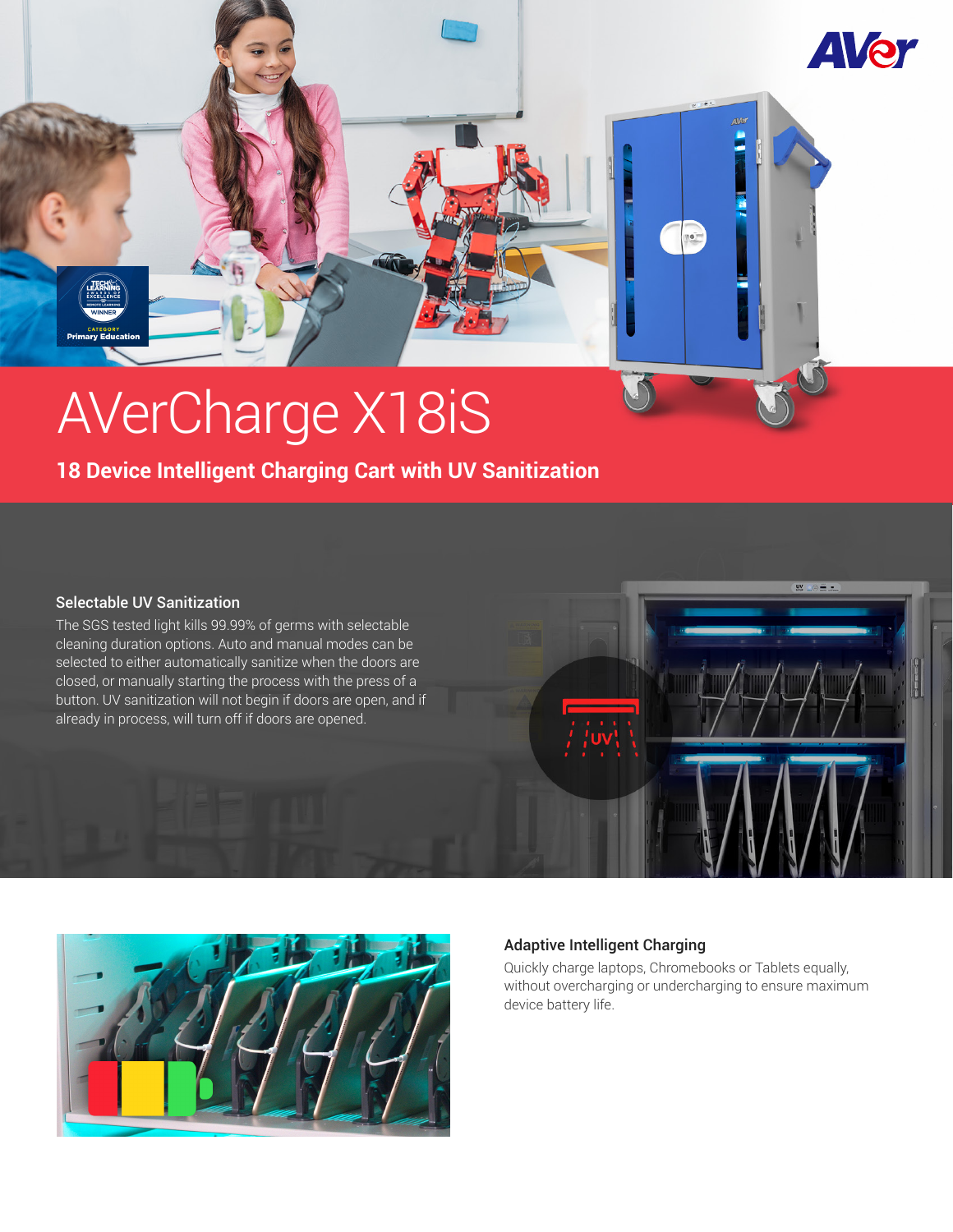

# AVerCharge X18iS

# **18 Device Intelligent Charging Cart with UV Sanitization**

#### Selectable UV Sanitization

The SGS tested light kills 99.99% of germs with selectable cleaning duration options. Auto and manual modes can be selected to either automatically sanitize when the doors are closed, or manually starting the process with the press of a button. UV sanitization will not begin if doors are open, and if already in process, will turn off if doors are opened.



#### Adaptive Intelligent Charging

Quickly charge laptops, Chromebooks or Tablets equally, without overcharging or undercharging to ensure maximum device battery life.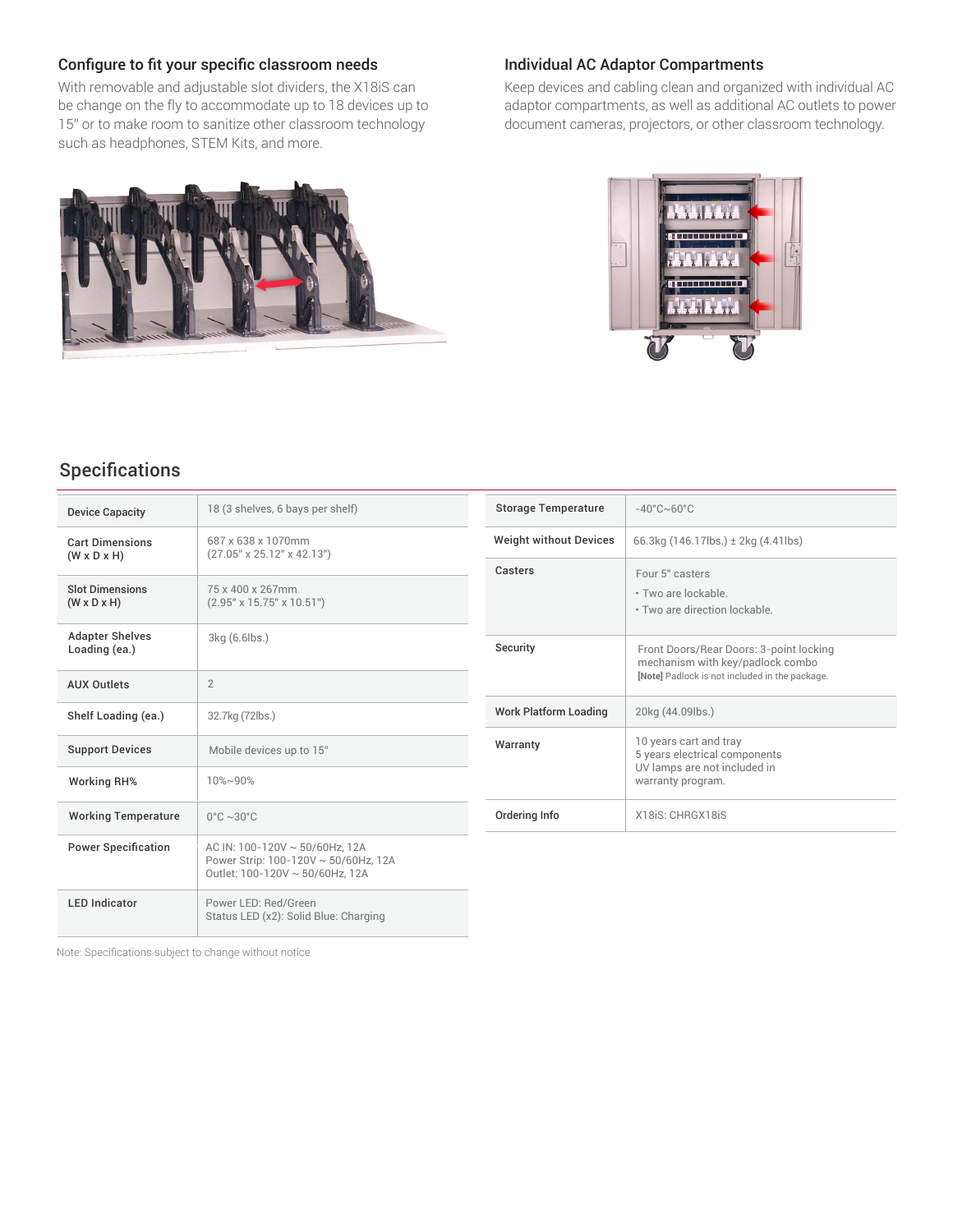#### Configure to fit your specific classroom needs

With removable and adjustable slot dividers, the X18iS can be change on the fly to accommodate up to 18 devices up to 15" or to make room to sanitize other classroom technology such as headphones, STEM Kits, and more.



#### Individual AC Adaptor Compartments

Keep devices and cabling clean and organized with individual AC adaptor compartments, as well as additional AC outlets to power document cameras, projectors, or other classroom technology.



## Specifications

| <b>Device Capacity</b>                            | 18 (3 shelves, 6 bays per shelf)                                                                          |  |  |
|---------------------------------------------------|-----------------------------------------------------------------------------------------------------------|--|--|
| <b>Cart Dimensions</b><br>$(W \times D \times H)$ | 687 x 638 x 1070mm<br>(27.05" x 25.12" x 42.13")                                                          |  |  |
| <b>Slot Dimensions</b><br>$(W \times D \times H)$ | 75 x 400 x 267mm<br>$(2.95" \times 15.75" \times 10.51")$                                                 |  |  |
| <b>Adapter Shelves</b><br>Loading (ea.)           | 3kg (6.6lbs.)                                                                                             |  |  |
| <b>AUX Outlets</b>                                | $\mathfrak{D}$                                                                                            |  |  |
| Shelf Loading (ea.)                               | 32.7kg (72lbs.)                                                                                           |  |  |
| <b>Support Devices</b>                            | Mobile devices up to 15"                                                                                  |  |  |
| <b>Working RH%</b>                                | $10\% - 90\%$                                                                                             |  |  |
| <b>Working Temperature</b>                        | $0^{\circ}$ C ~30 $^{\circ}$ C                                                                            |  |  |
| <b>Power Specification</b>                        | AC IN: 100-120V ~ 50/60Hz, 12A<br>Power Strip: 100-120V ~ 50/60Hz, 12A<br>Outlet: 100-120V ~ 50/60Hz. 12A |  |  |
| <b>LED Indicator</b>                              | Power LED: Red/Green<br>Status LED (x2): Solid Blue: Charging                                             |  |  |

| <b>Storage Temperature</b>    | $-40^{\circ}$ C $\sim$ 60 $^{\circ}$ C                                                                                        |  |
|-------------------------------|-------------------------------------------------------------------------------------------------------------------------------|--|
| <b>Weight without Devices</b> | 66.3kg $(146.17$ lbs.) $\pm$ 2kg $(4.41$ lbs)                                                                                 |  |
| Casters                       | Four 5" casters<br>. Two are lockable<br>. Two are direction lockable                                                         |  |
| Security                      | Front Doors/Rear Doors: 3-point locking<br>mechanism with key/padlock combo<br>[Note] Padlock is not included in the package. |  |
| Work Platform Loading         | 20kg (44.09lbs.)                                                                                                              |  |
| Warranty                      | 10 years cart and tray<br>5 years electrical components<br>UV lamps are not included in<br>warranty program.                  |  |
| Ordering Info                 | X18iS: CHRGX18iS                                                                                                              |  |

Note: Specifications subject to change without notice